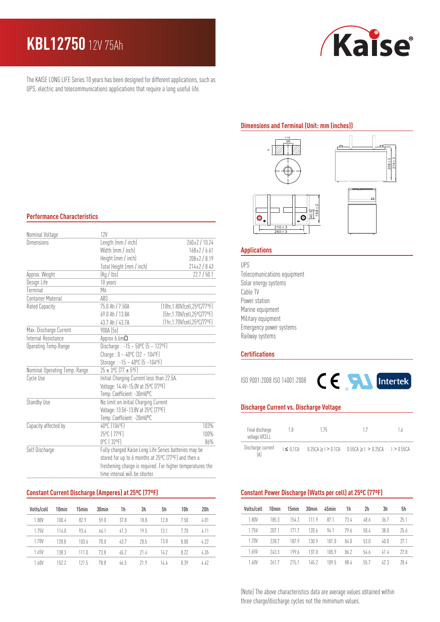# **KBL12750** 12V 75Ah

Kaise

The KAISE LONG LIFE Series 10 years has been designed for different applications, such as UPS, electric and telecommunications applications that require a long useful life.

### **Dimensions and Terminal (Unit: mm (inches))**



**Applications**

### UPS Telecomunications equipment Solar energy systems Cable TV Power station Marine equipment Military equipment Emergency power systems Railway systems

## **Certifications**

ISO 9001:2008 ISO 14001:2008



#### **Discharge Current vs. Discharge Voltage**

| Final discharge<br>voltage V/CELL | 175<br>1.8      |  |                                            | ιh            |
|-----------------------------------|-----------------|--|--------------------------------------------|---------------|
| Discharge current                 | $I \leq 0.1$ CA |  | $0.25CA > 1 > 0.1CA$ $0.55CA > 1 > 0.25CA$ | $1 > 0.55$ CA |

### **Constant Power Discharge (Watts per cell) at 25ºC (77ºF)**

| Volts/cell | 10min | 15 <sub>min</sub> | 30min            | 45min | 1h   | 2h   | 3h   | 5h   |
|------------|-------|-------------------|------------------|-------|------|------|------|------|
| 1.80V      | 185.3 | 154.2             | 1119             | 87.1  | 73.4 | 48.6 | 36.7 | 75.1 |
| 1.75V      | 207 1 | 171 7             | 120 6            | 94.1  | 79 h | 50.4 | 38.0 | 75.6 |
| 1.70V      | 2287  | 1879              | 130.9            | 1N1 N | 84.0 | 53.0 | 40.0 | 77.1 |
| 1.65V      | 2433  | 199 h             | 137 <sub>0</sub> | 105.9 | 86.2 | 54.6 | 414  | 77.8 |
| 1.60V      | 2617  | 2151              | 145.2            | 109.5 | 88.4 | 55.7 | 423  | 28.4 |

(Note) The above characteristics data are average values obtained within three charge/discharge cycles not the mimimum values.

### **Performance Characteristics**

| Nominal Voltage               | 12V                                                        |                               |  |  |  |
|-------------------------------|------------------------------------------------------------|-------------------------------|--|--|--|
| Dimensions                    | Length (mm / inch)                                         | $260 \pm 2 / 10.24$           |  |  |  |
|                               | Width (mm / inch)                                          | $168 \pm 2 / 6.61$            |  |  |  |
|                               | Height (mm / inch)                                         | $208 \pm 2 / 8.19$            |  |  |  |
|                               | Total Height (mm / inch)                                   | $214 \pm 2 / 8.43$            |  |  |  |
| Approx. Weight                | (Kq / lbs)                                                 | 22.7 / 50.1                   |  |  |  |
| Design Life                   | 10 years                                                   |                               |  |  |  |
| Terminal                      | M6                                                         |                               |  |  |  |
| <b>Container Material</b>     | ABS                                                        |                               |  |  |  |
| Rated Capacity                | 75.0 Ah / 7.50A                                            | (10hr, 1.80V/cell, 25°C/77°F) |  |  |  |
|                               | 69.0 Ah / 13.8A                                            | (5hr, 1.70V/cell, 25°C/77°F)  |  |  |  |
|                               | 43.7 Ah / 43.7A                                            | (1hr, 1.70V/cell, 25°C/77°F)  |  |  |  |
| Max. Discharge Current        | 900A [5s]                                                  |                               |  |  |  |
| Internal Resistance           | Approx 6.6m $\Omega$                                       |                               |  |  |  |
| Operating Temp.Range          | Discharge: $-15 - 50^{\circ}C$ (5 ~ 122°F)                 |                               |  |  |  |
|                               | Charge: $0 - 40^{\circ}C$ (32 ~ 104°F)                     |                               |  |  |  |
|                               | Storage: -15 ~ 40°C (5 ~104°F)                             |                               |  |  |  |
| Nominal Operating Temp. Range | 25 ± 3°C (77 ± 5°F)                                        |                               |  |  |  |
| Cycle Use                     | Initial Charging Current less than 22.5A.                  |                               |  |  |  |
|                               | Voltage: 14.4V~15.0V at 25°C (77°F)                        |                               |  |  |  |
|                               | Temp. Coefficient: -30mV/ºC                                |                               |  |  |  |
| Standby Use                   | No limit on initial Charging Current                       |                               |  |  |  |
|                               | Voltage: 13.5V~13.8V at 25°C (77°F)                        |                               |  |  |  |
|                               | Temp. Coefficient: -20mV/ºC                                |                               |  |  |  |
| Capacity affected by          | 40°C (104°F)                                               | 103%                          |  |  |  |
|                               | 25°C (77°F)                                                | 100%                          |  |  |  |
|                               | 0°C (32°F)                                                 | 86%                           |  |  |  |
| Self Discharge                | Fully charged Kaise Long Life Series batteries may be      |                               |  |  |  |
|                               | stored for up to 6 months at 25°C (77°F) and then a        |                               |  |  |  |
|                               | freshening charge is required. For higher temperatures the |                               |  |  |  |
|                               | time interval will be shorter.                             |                               |  |  |  |

#### **Constant Current Discharge (Amperes) at 25ºC (77ºF)**

| Volts/cell | 10 <sub>min</sub> | 15min | 30 <sub>min</sub> | 1h   | 3h   | 5h   | 10h   | 20h  |
|------------|-------------------|-------|-------------------|------|------|------|-------|------|
| 1.80V      | 100.4             | 82.9  | 59 <sub>0</sub>   | 37 R | 18.8 | 12 R | 7.50  | 4.01 |
| 1.75V      | 114.0             | 93.4  | 64.1              | 41.3 | 19.5 | 13.1 | 770   | 4.11 |
| 1.70V      | 128.8             | 103.6 | 70.0              | 43.7 | 20.5 | 13.8 | 8.00  | 4.77 |
| 1.65V      | 138.3             | 111.0 | 73.8              | 45.7 | 214  | 14.2 | 8 7 7 | 4.35 |
| 1.60V      | 1522              | 1215  | 78.8              | 46.5 | 219  | 14.6 | 8.39  | 4.47 |